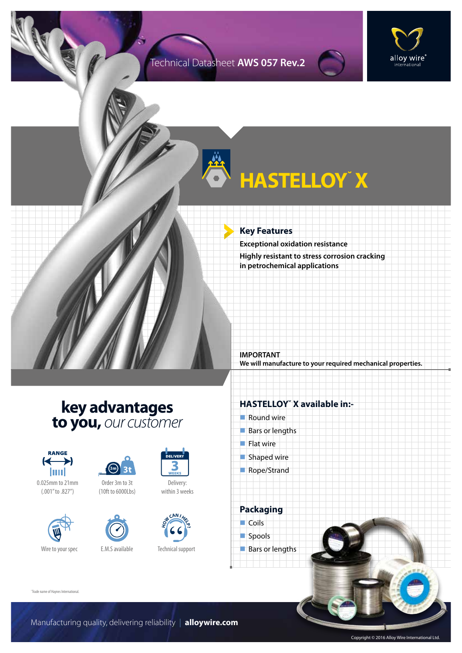### Technical Datasheet **AWS 057 Rev.2**



# **HASTELLOY˘ X**

#### **Key Features**

**Exceptional oxidation resistance Highly resistant to stress corrosion cracking in petrochemical applications**

**IMPORTANT We will manufacture to your required mechanical properties.**

# **key advantages to you,** *our customer*



0.025mm to 21mm (.001" to .827")





Order 3m to 3t (10ft to 6000Lbs)



Wire to your spec E.M.S available



Delivery: within 3 weeks



Technical support

### **HASTELLOY˘ X available in:-**

- $\blacksquare$  Round wire
- $Bars$  or lengths
- $\blacksquare$  Flat wire
- $\blacksquare$  Shaped wire
- Rope/Strand

**Packaging**  $\Box$  Coils spools  $\blacksquare$  Bars or lengths

˘Trade name of Haynes International.

Manufacturing quality, delivering reliability | **alloywire.com**

Copyright © 2016 Alloy Wire International Ltd.